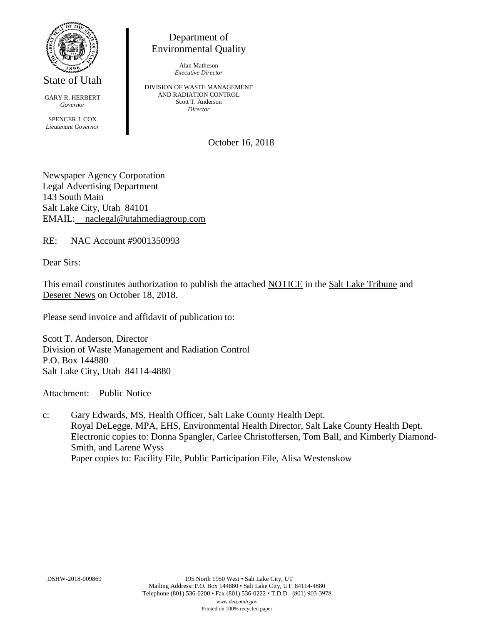

State of Utah

GARY R. HERBERT *Governor* SPENCER J. COX *Lieutenant Governor*

Department of Environmental Quality

> Alan Matheson *Executive Director*

DIVISION OF WASTE MANAGEMENT AND RADIATION CONTROL Scott T. Anderson *Director*

October 16, 2018

Newspaper Agency Corporation Legal Advertising Department 143 South Main Salt Lake City, Utah 84101 EMAIL: naclegal@utahmediagroup.com

RE: NAC Account #9001350993

Dear Sirs:

This email constitutes authorization to publish the attached NOTICE in the Salt Lake Tribune and Deseret News on October 18, 2018.

Please send invoice and affidavit of publication to:

Scott T. Anderson, Director Division of Waste Management and Radiation Control P.O. Box 144880 Salt Lake City, Utah 84114-4880

Attachment: Public Notice

c: Gary Edwards, MS, Health Officer, Salt Lake County Health Dept. Royal DeLegge, MPA, EHS, Environmental Health Director, Salt Lake County Health Dept. Electronic copies to: Donna Spangler, Carlee Christoffersen, Tom Ball, and Kimberly Diamond-Smith, and Larene Wyss Paper copies to: Facility File, Public Participation File, Alisa Westenskow